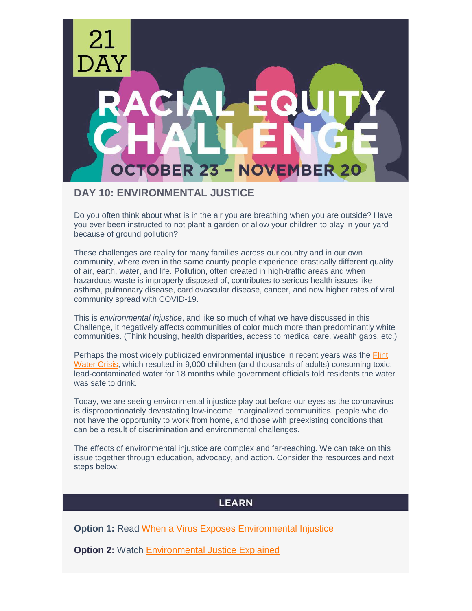

# **DAY 10: ENVIRONMENTAL JUSTICE**

Do you often think about what is in the air you are breathing when you are outside? Have you ever been instructed to not plant a garden or allow your children to play in your yard because of ground pollution?

These challenges are reality for many families across our country and in our own community, where even in the same county people experience drastically different quality of air, earth, water, and life. Pollution, often created in high-traffic areas and when hazardous waste is improperly disposed of, contributes to serious health issues like asthma, pulmonary disease, cardiovascular disease, cancer, and now higher rates of viral community spread with COVID-19.

This is *environmental injustice*, and like so much of what we have discussed in this Challenge, it negatively affects communities of color much more than predominantly white communities. (Think housing, health disparities, access to medical care, wealth gaps, etc.)

Perhaps the most widely publicized environmental injustice in recent years was the Flint [Water Crisis,](https://www.nrdc.org/stories/flint-water-crisis-everything-you-need-know) which resulted in 9,000 children (and thousands of adults) consuming toxic, lead-contaminated water for 18 months while government officials told residents the water was safe to drink.

Today, we are seeing environmental injustice play out before our eyes as the coronavirus is disproportionately devastating low-income, marginalized communities, people who do not have the opportunity to work from home, and those with preexisting conditions that can be a result of discrimination and environmental challenges.

The effects of environmental injustice are complex and far-reaching. We can take on this issue together through education, advocacy, and action. Consider the resources and next steps below.

## **LEARN**

**Option 1: Read [When a Virus Exposes Environmental Injustice](https://www.nrdc.org/onearth/when-virus-exposes-environmental-injustice)** 

**Option 2: Watch [Environmental Justice](https://www.youtube.com/watch?v=dREtXUij6_c) Explained**